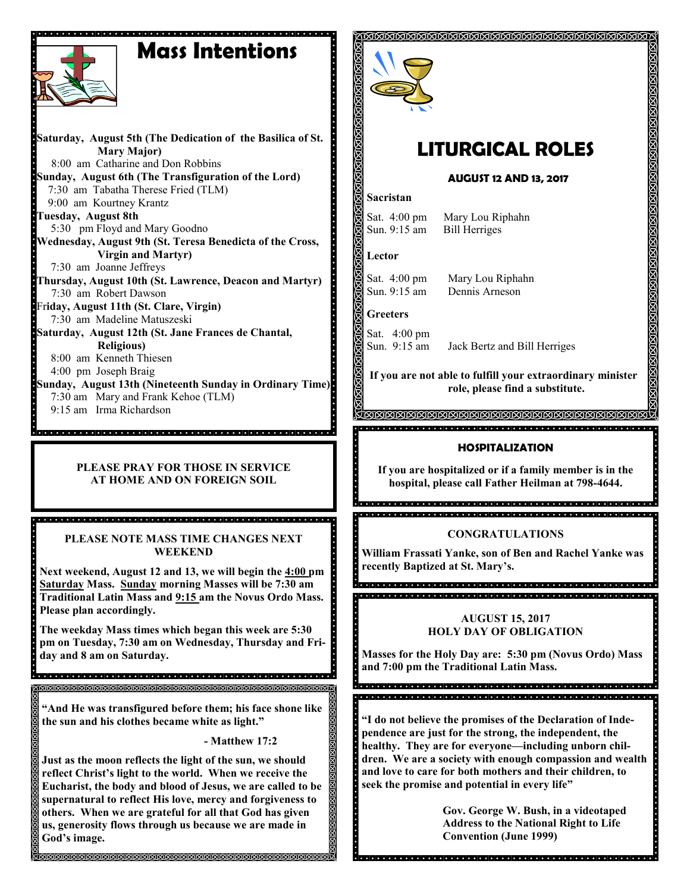# **Mass Intentions**

 **Saturday, August 5th (The Dedication of the Basilica of St. Mary Major)** 8:00 am Catharine and Don Robbins **Sunday, August 6th (The Transfiguration of the Lord)** 7:30 am Tabatha Therese Fried (TLM) 9:00 am Kourtney Krantz **Tuesday, August 8th** 5:30 pm Floyd and Mary Goodno **Wednesday, August 9th (St. Teresa Benedicta of the Cross, Virgin and Martyr)** 7:30 am Joanne Jeffreys **Thursday, August 10th (St. Lawrence, Deacon and Martyr)** 7:30 am Robert Dawson Fr**iday, August 11th (St. Clare, Virgin)** 7:30 am Madeline Matuszeski **Saturday, August 12th (St. Jane Frances de Chantal, Religious)** 8:00 am Kenneth Thiesen 4:00 pm Joseph Braig **Sunday, August 13th (Nineteenth Sunday in Ordinary Time)** 7:30 am Mary and Frank Kehoe (TLM) 9:15 am Irma Richardson

#### **PLEASE PRAY FOR THOSE IN SERVICE AT HOME AND ON FOREIGN SOIL**

#### **PLEASE NOTE MASS TIME CHANGES NEXT WEEKEND**

.<br>Ideia de la ciela de la dialección de la ciela de la ciela de la ciela de la ciela de la ciela de la ciela de

**Next weekend, August 12 and 13, we will begin the 4:00 pm Saturday Mass. Sunday morning Masses will be 7:30 am Traditional Latin Mass and 9:15 am the Novus Ordo Mass. Please plan accordingly.** 

**The weekday Mass times which began this week are 5:30 pm on Tuesday, 7:30 am on Wednesday, Thursday and Friday and 8 am on Saturday.** 

**"And He was transfigured before them; his face shone like the sun and his clothes became white as light."**

**- Matthew 17:2**

**Just as the moon reflects the light of the sun, we should reflect Christ's light to the world. When we receive the Eucharist, the body and blood of Jesus, we are called to be supernatural to reflect His love, mercy and forgiveness to others. When we are grateful for all that God has given us, generosity flows through us because we are made in God's image.** 



# **LITURGICAL ROLES**

#### **AUGUST 12 AND 13, 2017**

#### **Sacristan**

Sat. 4:00 pm Mary Lou Riphahn<br>Sun. 9:15 am Bill Herriges **Bill Herriges** 

**Lector**

Sat. 4:00 pm Mary Lou Riphahn Sun. 9:15 am Dennis Arneson

**Greeters**

Sat. 4:00 pm<br>Sun. 9:15 am

Jack Bertz and Bill Herriges

**If you are not able to fulfill your extraordinary minister role, please find a substitute.** 

KIKIKIKIKIKIKIKIKIKIKIKIKIKI 

#### **HOSPITALIZATION**

**If you are hospitalized or if a family member is in the hospital, please call Father Heilman at 798-4644.**

#### **CONGRATULATIONS**

**::::: William Frassati Yanke, son of Ben and Rachel Yanke was recently Baptized at St. Mary's.**

#### **AUGUST 15, 2017 HOLY DAY OF OBLIGATION**

**Masses for the Holy Day are: 5:30 pm (Novus Ordo) Mass and 7:00 pm the Traditional Latin Mass.**

g<br>Obdelado de algar de de algar de algar de algar de algar de algar de algar de algar de algar <u>a dia la dia la dia la dia la dia la dia la dia la dia la dia la dia la dia la dia la dia la dia la dia la di</u>

**"I do not believe the promises of the Declaration of Independence are just for the strong, the independent, the healthy. They are for everyone—including unborn children. We are a society with enough compassion and wealth and love to care for both mothers and their children, to seek the promise and potential in every life"**

**Gov. George W. Bush, in a videotaped Address to the National Right to Life Convention (June 1999)**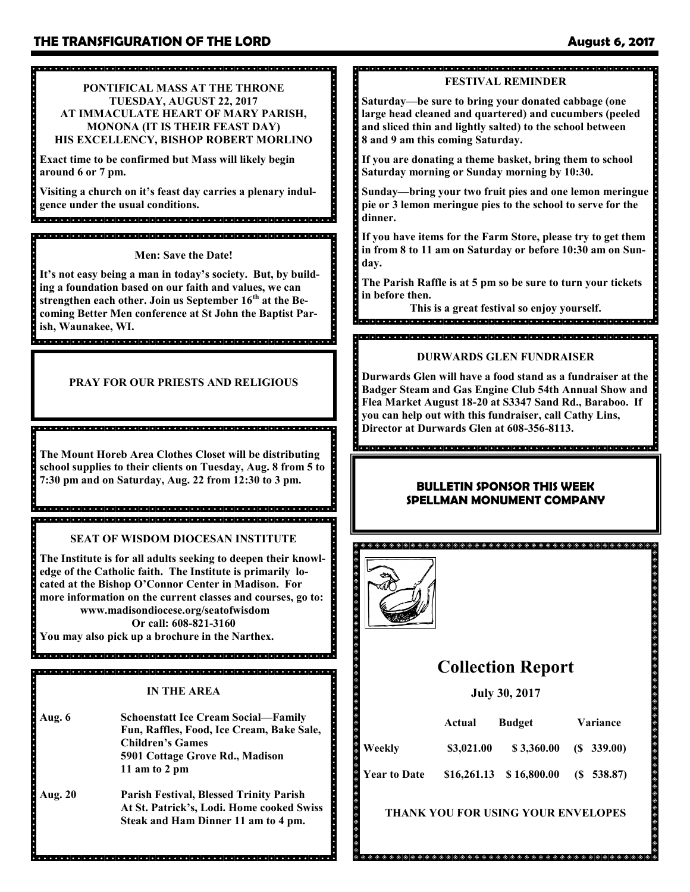#### 

**PONTIFICAL MASS AT THE THRONE TUESDAY, AUGUST 22, 2017 AT IMMACULATE HEART OF MARY PARISH, MONONA (IT IS THEIR FEAST DAY) HIS EXCELLENCY, BISHOP ROBERT MORLINO**

**Exact time to be confirmed but Mass will likely begin around 6 or 7 pm.**

**Visiting a church on it's feast day carries a plenary indulgence under the usual conditions.** 

**Men: Save the Date!**

**It's not easy being a man in today's society. But, by building a foundation based on our faith and values, we can strengthen each other. Join us September 16th at the Becoming Better Men conference at St John the Baptist Parish, Waunakee, WI.**

#### **PRAY FOR OUR PRIESTS AND RELIGIOUS**

**The Mount Horeb Area Clothes Closet will be distributing school supplies to their clients on Tuesday, Aug. 8 from 5 to 7:30 pm and on Saturday, Aug. 22 from 12:30 to 3 pm.**

de elecciones de la ciencia de la ciencia de la ciencia de la ciencia de la ciencia de la ciencia de la cienci

**SEAT OF WISDOM DIOCESAN INSTITUTE**

**The Institute is for all adults seeking to deepen their knowledge of the Catholic faith. The Institute is primarily located at the Bishop O'Connor Center in Madison. For more information on the current classes and courses, go to: www.madisondiocese.org/seatofwisdom Or call: 608-821-3160**

**You may also pick up a brochure in the Narthex.** 

- **IN THE AREA**
- **Aug. 6 Schoenstatt Ice Cream Social—Family Fun, Raffles, Food, Ice Cream, Bake Sale, Children's Games 5901 Cottage Grove Rd., Madison 11 am to 2 pm**
- **Aug. 20 Parish Festival, Blessed Trinity Parish At St. Patrick's, Lodi. Home cooked Swiss Steak and Ham Dinner 11 am to 4 pm.**

dia alatata la latata la latata la latata la latata la latata la latata la latata la latata la latata la latat

## 

### **FESTIVAL REMINDER**

**Saturday—be sure to bring your donated cabbage (one large head cleaned and quartered) and cucumbers (peeled and sliced thin and lightly salted) to the school between 8 and 9 am this coming Saturday.** 

**If you are donating a theme basket, bring them to school Saturday morning or Sunday morning by 10:30.**

**Sunday—bring your two fruit pies and one lemon meringue pie or 3 lemon meringue pies to the school to serve for the dinner.** 

**If you have items for the Farm Store, please try to get them in from 8 to 11 am on Saturday or before 10:30 am on Sunday.**

**The Parish Raffle is at 5 pm so be sure to turn your tickets in before then.** 

**This is a great festival so enjoy yourself.**

#### . . . . . . . 1

#### **DURWARDS GLEN FUNDRAISER**

**Durwards Glen will have a food stand as a fundraiser at the Badger Steam and Gas Engine Club 54th Annual Show and Flea Market August 18-20 at S3347 Sand Rd., Baraboo. If you can help out with this fundraiser, call Cathy Lins, Director at Durwards Glen at 608-356-8113.**

#### **BULLETIN SPONSOR THIS WEEK SPELLMAN MONUMENT COMPANY**



## **Collection Report**

#### **July 30, 2017**

|                     | Actual     | <b>Budget</b>                 | Variance      |
|---------------------|------------|-------------------------------|---------------|
| Weekly              | \$3,021.00 | \$3,360.00                    | $(S\ 339.00)$ |
| <b>Year to Date</b> |            | $$16,261.13 \quad $16,800.00$ | (S 538.87)    |

#### **THANK YOU FOR USING YOUR ENVELOPES**